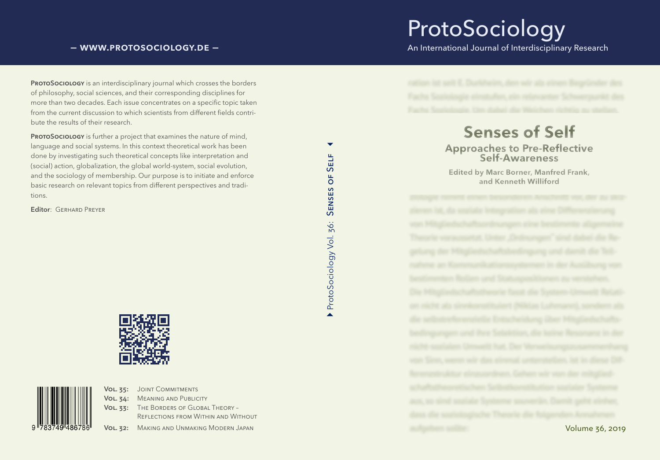# ProtoSociology

An International Journal of Interdisciplinary Research

## **Senses of Self Approaches to Pre-Reflective Self-Awareness**

**Edited by Marc Borner, Manfred Frank, and Kenneth Williford**

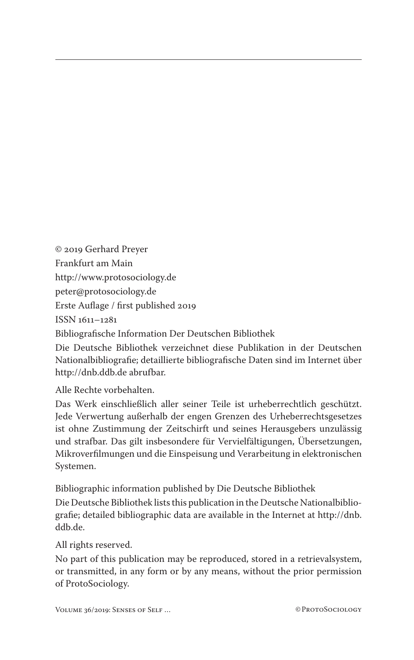© 2019 Gerhard Preyer Frankfurt am Main http://www.protosociology.de peter@protosociology.de Erste Auflage / first published 2019 ISSN 1611–1281

Bibliografische Information Der Deutschen Bibliothek

Die Deutsche Bibliothek verzeichnet diese Publikation in der Deutschen Nationalbibliografie; detaillierte bibliografische Daten sind im Internet über http://dnb.ddb.de abrufbar.

Alle Rechte vorbehalten.

Das Werk einschließlich aller seiner Teile ist urheberrechtlich geschützt. Jede Verwertung außerhalb der engen Grenzen des Urheberrechtsgesetzes ist ohne Zustimmung der Zeitschirft und seines Herausgebers unzulässig und strafbar. Das gilt insbesondere für Vervielfältigungen, Übersetzungen, Mikroverfilmungen und die Einspeisung und Verarbeitung in elektronischen Systemen.

Bibliographic information published by Die Deutsche Bibliothek

Die Deutsche Bibliothek lists this publication in the Deutsche Nationalbibliografie; detailed bibliographic data are available in the Internet at http://dnb. ddb.de.

All rights reserved.

No part of this publication may be reproduced, stored in a retrievalsystem, or transmitted, in any form or by any means, without the prior permission of ProtoSociology.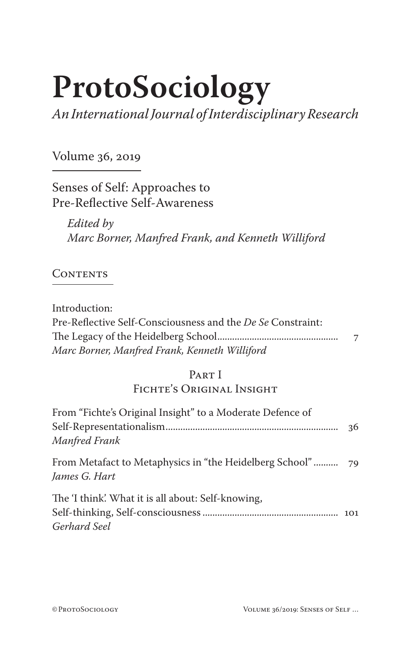# **ProtoSociology**

*An International Journal of Interdisciplinary Research*

Volume 36, 2019

Senses of Self: Approaches to Pre-Reflective Self-Awareness

*Edited by Marc Borner, Manfred Frank, and Kenneth Williford*

#### CONTENTS

| Introduction:                                               |   |
|-------------------------------------------------------------|---|
| Pre-Reflective Self-Consciousness and the De Se Constraint: |   |
|                                                             | 7 |
| Marc Borner, Manfred Frank, Kenneth Williford               |   |

#### PART I

## Fichte's Original Insight

| From "Fichte's Original Insight" to a Moderate Defence of<br>Manfred Frank | 36 |
|----------------------------------------------------------------------------|----|
| James G. Hart                                                              |    |
| The 'I think'. What it is all about: Self-knowing,<br>Gerhard Seel         |    |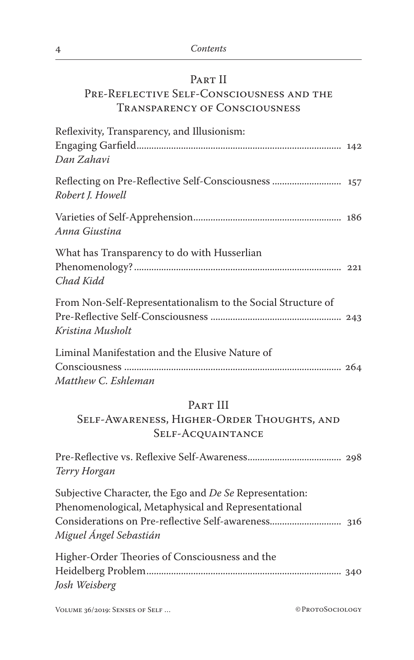## PART II

#### Pre-Reflective Self-Consciousness and the Transparency of Consciousness

| Reflexivity, Transparency, and Illusionism:<br>Dan Zahavi                        |  |
|----------------------------------------------------------------------------------|--|
| Reflecting on Pre-Reflective Self-Consciousness  157<br>Robert J. Howell         |  |
| Anna Giustina                                                                    |  |
| What has Transparency to do with Husserlian<br>Chad Kidd                         |  |
| From Non-Self-Representationalism to the Social Structure of<br>Kristina Musholt |  |
| Liminal Manifestation and the Elusive Nature of<br>Matthew C. Eshleman           |  |

#### PART III

## Self-Awareness, Higher-Order Thoughts, and Self-Acquaintance

| Terry Horgan                                                                                                   |  |
|----------------------------------------------------------------------------------------------------------------|--|
| Subjective Character, the Ego and De Se Representation:<br>Phenomenological, Metaphysical and Representational |  |
| Miguel Ángel Sebastián                                                                                         |  |
| Higher-Order Theories of Consciousness and the<br>Josh Weisberg                                                |  |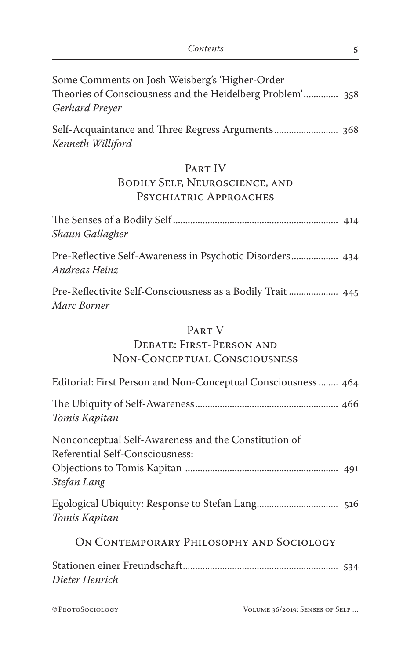| Some Comments on Josh Weisberg's 'Higher-Order            |  |
|-----------------------------------------------------------|--|
| Theories of Consciousness and the Heidelberg Problem' 358 |  |
| Gerhard Preyer                                            |  |

Self-Acquaintance and Three Regress Arguments.......................... 368 *Kenneth Williford*

#### Part IV

## Bodily Self, Neuroscience, and Psychiatric Approaches

| Shaun Gallagher                                                           |  |
|---------------------------------------------------------------------------|--|
| Andreas Heinz                                                             |  |
| Pre-Reflectivite Self-Consciousness as a Bodily Trait  445<br>Marc Borner |  |

#### Part V

#### Debate: First-Person and Non-Conceptual Consciousness

| Editorial: First Person and Non-Conceptual Consciousness  464                                          |  |
|--------------------------------------------------------------------------------------------------------|--|
| Tomis Kapitan                                                                                          |  |
| Nonconceptual Self-Awareness and the Constitution of<br>Referential Self-Consciousness:<br>Stefan Lang |  |
| Tomis Kapitan                                                                                          |  |
| ON CONTEMPORARY PHILOSOPHY AND SOCIOLOGY                                                               |  |
| Dieter Henrich                                                                                         |  |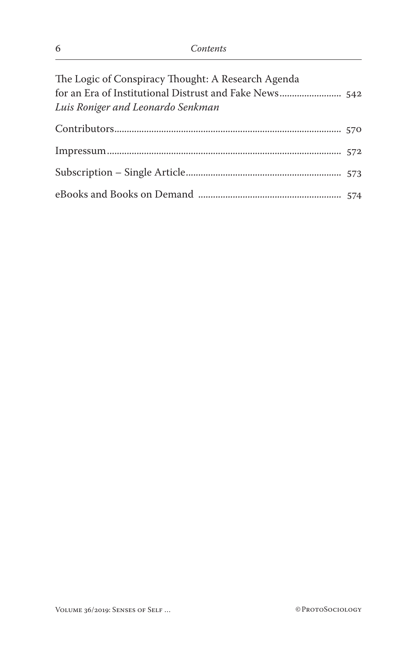| The Logic of Conspiracy Thought: A Research Agenda<br>for an Era of Institutional Distrust and Fake News 542<br>Luis Roniger and Leonardo Senkman |  |
|---------------------------------------------------------------------------------------------------------------------------------------------------|--|
|                                                                                                                                                   |  |
|                                                                                                                                                   |  |
|                                                                                                                                                   |  |
|                                                                                                                                                   |  |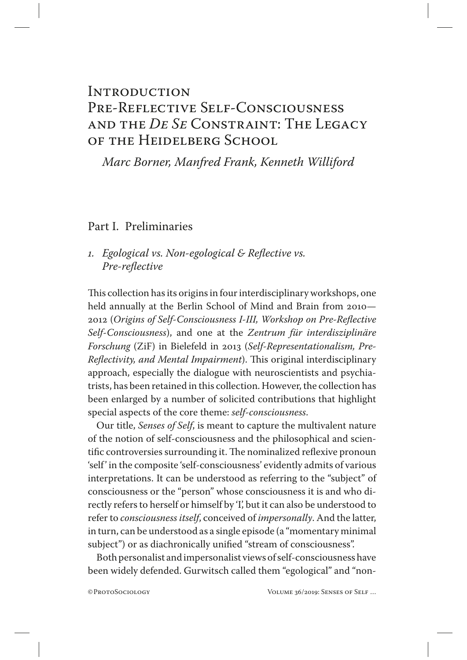## **INTRODUCTION** Pre-Reflective Self-Consciousness and the *De Se* Constraint: The Legacy of the Heidelberg School

*Marc Borner, Manfred Frank, Kenneth Williford*

#### Part I. Preliminaries

*1. Egological vs. Non-egological & Reflective vs. Pre-reflective*

This collection has its origins in four interdisciplinary workshops, one held annually at the Berlin School of Mind and Brain from 2010— 2012 (*Origins of Self-Consciousness I-III, Workshop on Pre-Reflective Self-Consciousness*), and one at the *Zentrum für interdisziplinäre Forschung* (ZiF) in Bielefeld in 2013 (*Self-Representationalism, Pre-Reflectivity, and Mental Impairment*). This original interdisciplinary approach, especially the dialogue with neuroscientists and psychiatrists, has been retained in this collection. However, the collection has been enlarged by a number of solicited contributions that highlight special aspects of the core theme: *self-consciousness*.

Our title, *Senses of Self*, is meant to capture the multivalent nature of the notion of self-consciousness and the philosophical and scientific controversies surrounding it. The nominalized reflexive pronoun 'self' in the composite 'self-consciousness' evidently admits of various interpretations. It can be understood as referring to the "subject" of consciousness or the "person" whose consciousness it is and who directly refers to herself or himself by 'I', but it can also be understood to refer to *consciousness itself*, conceived of *impersonally*. And the latter, in turn, can be understood as a single episode (a "momentary minimal subject") or as diachronically unified "stream of consciousness".

Both personalist and impersonalist views of self-consciousness have been widely defended. Gurwitsch called them "egological" and "non-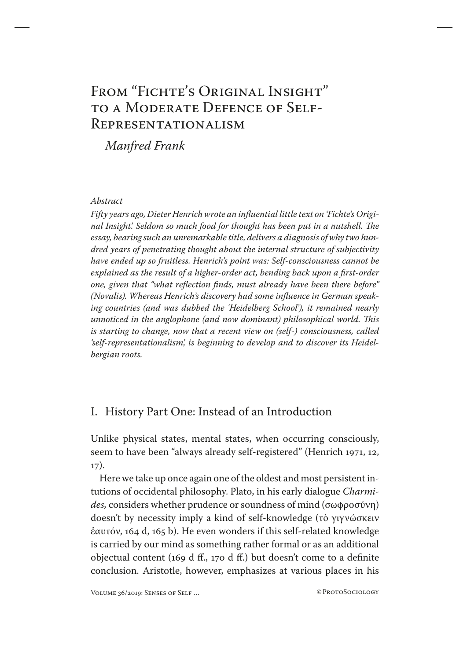## FROM "FICHTE'S ORIGINAL INSIGHT" to a Moderate Defence of Self-Representationalism

*Manfred Frank*

#### *Abstract*

*Fifty years ago, Dieter Henrich wrote an influential little text on 'Fichte's Original Insight'. Seldom so much food for thought has been put in a nutshell. The essay, bearing such an unremarkable title, delivers a diagnosis of why two hundred years of penetrating thought about the internal structure of subjectivity have ended up so fruitless. Henrich's point was: Self-consciousness cannot be explained as the result of a higher-order act, bending back upon a first-order one, given that "what reflection finds, must already have been there before" (Novalis). Whereas Henrich's discovery had some influence in German speaking countries (and was dubbed the 'Heidelberg School'), it remained nearly unnoticed in the anglophone (and now dominant) philosophical world. This is starting to change, now that a recent view on (self-) consciousness, called 'self-representationalism', is beginning to develop and to discover its Heidelbergian roots.*

## I. History Part One: Instead of an Introduction

Unlike physical states, mental states, when occurring consciously, seem to have been "always already self-registered" (Henrich 1971, 12, 17).

Here we take up once again one of the oldest and most persistent intutions of occidental philosophy. Plato, in his early dialogue *Charmides,* considers whether prudence or soundness of mind (σωφροσύνη) doesn't by necessity imply a kind of self-knowledge (τὸ γιγνώσκειν ਦαυτόν, 164 d, 165 b). He even wonders if this self-related knowledge is carried by our mind as something rather formal or as an additional objectual content (169 d ff., 170 d ff.) but doesn't come to a definite conclusion. Aristotle, however, emphasizes at various places in his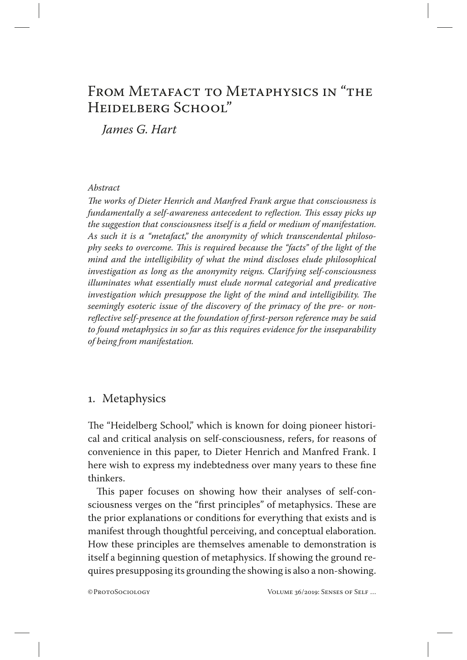## FROM METAFACT TO METAPHYSICS IN "THE Heidelberg School"

*James G. Hart*

#### *Abstract*

*The works of Dieter Henrich and Manfred Frank argue that consciousness is fundamentally a self-awareness antecedent to reflection. This essay picks up the suggestion that consciousness itself is a field or medium of manifestation. As such it is a "metafact," the anonymity of which transcendental philosophy seeks to overcome. This is required because the "facts" of the light of the mind and the intelligibility of what the mind discloses elude philosophical investigation as long as the anonymity reigns. Clarifying self-consciousness illuminates what essentially must elude normal categorial and predicative investigation which presuppose the light of the mind and intelligibility. The seemingly esoteric issue of the discovery of the primacy of the pre- or nonreflective self-presence at the foundation of first-person reference may be said to found metaphysics in so far as this requires evidence for the inseparability of being from manifestation.*

#### 1. Metaphysics

The "Heidelberg School," which is known for doing pioneer historical and critical analysis on self-consciousness, refers, for reasons of convenience in this paper, to Dieter Henrich and Manfred Frank. I here wish to express my indebtedness over many years to these fine thinkers.

This paper focuses on showing how their analyses of self-consciousness verges on the "first principles" of metaphysics. These are the prior explanations or conditions for everything that exists and is manifest through thoughtful perceiving, and conceptual elaboration. How these principles are themselves amenable to demonstration is itself a beginning question of metaphysics. If showing the ground requires presupposing its grounding the showing is also a non-showing.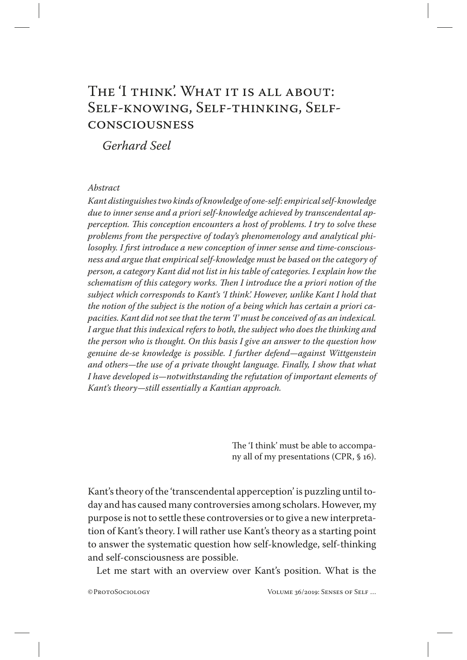## The 'I think'. What it is all about: Self-knowing, Self-thinking, Selfconsciousness

*Gerhard Seel* 

#### *Abstract*

*Kant distinguishes two kinds of knowledge of one-self: empirical self-knowledge due to inner sense and a priori self-knowledge achieved by transcendental apperception. This conception encounters a host of problems. I try to solve these problems from the perspective of today's phenomenology and analytical philosophy. I first introduce a new conception of inner sense and time-consciousness and argue that empirical self-knowledge must be based on the category of person, a category Kant did not list in his table of categories. I explain how the schematism of this category works. Then I introduce the a priori notion of the subject which corresponds to Kant's 'I think'. However, unlike Kant I hold that the notion of the subject is the notion of a being which has certain a priori capacities. Kant did not see that the term 'I' must be conceived of as an indexical. I argue that this indexical refers to both, the subject who does the thinking and the person who is thought. On this basis I give an answer to the question how genuine de-se knowledge is possible. I further defend—against Wittgenstein and others—the use of a private thought language. Finally, I show that what I have developed is—notwithstanding the refutation of important elements of Kant's theory—still essentially a Kantian approach.*

> The 'I think' must be able to accompany all of my presentations (CPR, § 16).

Kant's theory of the 'transcendental apperception' is puzzling until today and has caused many controversies among scholars. However, my purpose is not to settle these controversies or to give a new interpretation of Kant's theory. I will rather use Kant's theory as a starting point to answer the systematic question how self-knowledge, self-thinking and self-consciousness are possible.

Let me start with an overview over Kant's position. What is the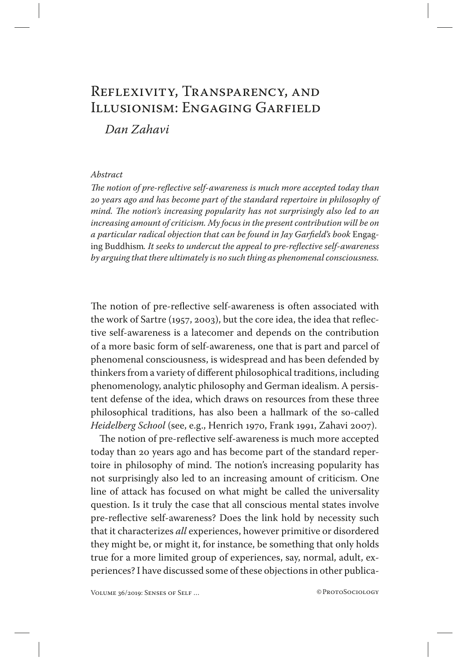## Reflexivity, Transparency, and Illusionism: Engaging Garfield

*Dan Zahavi*

#### *Abstract*

*The notion of pre-reflective self-awareness is much more accepted today than 20 years ago and has become part of the standard repertoire in philosophy of mind. The notion's increasing popularity has not surprisingly also led to an increasing amount of criticism. My focus in the present contribution will be on a particular radical objection that can be found in Jay Garfield's book* Engaging Buddhism*. It seeks to undercut the appeal to pre-reflective self-awareness by arguing that there ultimately is no such thing as phenomenal consciousness.* 

The notion of pre-reflective self-awareness is often associated with the work of Sartre (1957, 2003), but the core idea, the idea that reflective self-awareness is a latecomer and depends on the contribution of a more basic form of self-awareness, one that is part and parcel of phenomenal consciousness, is widespread and has been defended by thinkers from a variety of different philosophical traditions, including phenomenology, analytic philosophy and German idealism. A persistent defense of the idea, which draws on resources from these three philosophical traditions, has also been a hallmark of the so-called *Heidelberg School* (see, e.g., Henrich 1970, Frank 1991, Zahavi 2007).

The notion of pre-reflective self-awareness is much more accepted today than 20 years ago and has become part of the standard repertoire in philosophy of mind. The notion's increasing popularity has not surprisingly also led to an increasing amount of criticism. One line of attack has focused on what might be called the universality question. Is it truly the case that all conscious mental states involve pre-reflective self-awareness? Does the link hold by necessity such that it characterizes *all* experiences, however primitive or disordered they might be, or might it, for instance, be something that only holds true for a more limited group of experiences, say, normal, adult, experiences? I have discussed some of these objections in other publica-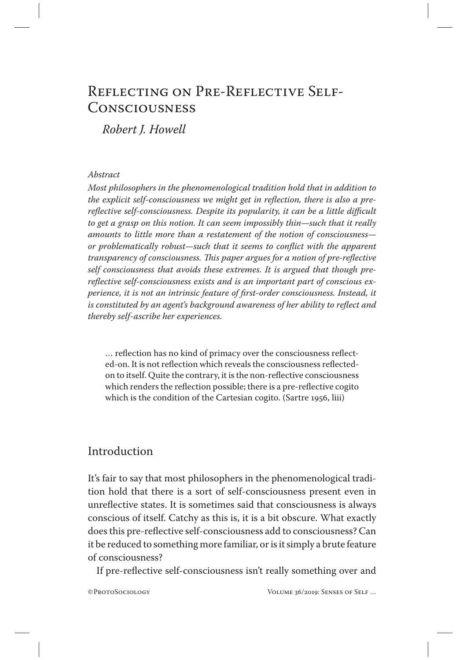## Reflecting on Pre-Reflective Self-**CONSCIOUSNESS**

*Robert J. Howell*

#### *Abstract*

*Most philosophers in the phenomenological tradition hold that in addition to the explicit self-consciousness we might get in reflection, there is also a prereflective self-consciousness. Despite its popularity, it can be a little difficult to get a grasp on this notion. It can seem impossibly thin—such that it really amounts to little more than a restatement of the notion of consciousness or problematically robust—such that it seems to conflict with the apparent transparency of consciousness. This paper argues for a notion of pre-reflective self consciousness that avoids these extremes. It is argued that though prereflective self-consciousness exists and is an important part of conscious experience, it is not an intrinsic feature of first-order consciousness. Instead, it is constituted by an agent's background awareness of her ability to reflect and thereby self-ascribe her experiences.*

… reflection has no kind of primacy over the consciousness reflected-on. It is not reflection which reveals the consciousness reflectedon to itself. Quite the contrary, it is the non-reflective consciousness which renders the reflection possible; there is a pre-reflective cogito which is the condition of the Cartesian cogito. (Sartre 1956, liii)

#### Introduction

It's fair to say that most philosophers in the phenomenological tradition hold that there is a sort of self-consciousness present even in unreflective states. It is sometimes said that consciousness is always conscious of itself. Catchy as this is, it is a bit obscure. What exactly does this pre-reflective self-consciousness add to consciousness? Can it be reduced to something more familiar, or is it simply a brute feature of consciousness?

If pre-reflective self-consciousness isn't really something over and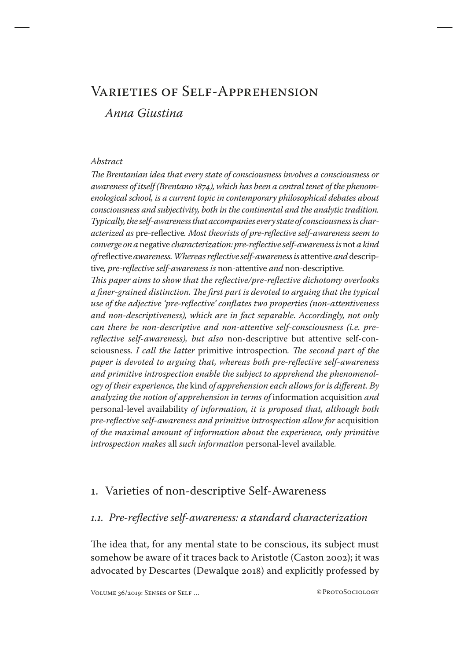## Varieties of Self-Apprehension

#### *Anna Giustina*

#### *Abstract*

*The Brentanian idea that every state of consciousness involves a consciousness or awareness of itself (Brentano 1874), which has been a central tenet of the phenomenological school, is a current topic in contemporary philosophical debates about consciousness and subjectivity, both in the continental and the analytic tradition. Typically, the self-awareness that accompanies every state of consciousness is characterized as* pre-reflective*. Most theorists of pre-reflective self-awareness seem to converge on a* negative *characterization: pre-reflective self-awareness is* not *a kind of* reflective *awareness. Whereas reflective self-awareness is* attentive *and* descriptive*, pre-reflective self-awareness is* non-attentive *and* non-descriptive*.*

*This paper aims to show that the reflective/pre-reflective dichotomy overlooks a finer-grained distinction. The first part is devoted to arguing that the typical use of the adjective 'pre-reflective' conflates two properties (non-attentiveness and non-descriptiveness), which are in fact separable. Accordingly, not only can there be non-descriptive and non-attentive self-consciousness (i.e. prereflective self-awareness), but also* non-descriptive but attentive self-consciousness*. I call the latter* primitive introspection*. The second part of the paper is devoted to arguing that, whereas both pre-reflective self-awareness and primitive introspection enable the subject to apprehend the phenomenology of their experience, the* kind *of apprehension each allows for is different. By analyzing the notion of apprehension in terms of* information acquisition *and*  personal-level availability *of information, it is proposed that, although both pre-reflective self-awareness and primitive introspection allow for* acquisition *of the maximal amount of information about the experience, only primitive introspection makes* all *such information* personal-level available*.*

#### 1. Varieties of non-descriptive Self-Awareness

#### *1.1. Pre-reflective self-awareness: a standard characterization*

The idea that, for any mental state to be conscious, its subject must somehow be aware of it traces back to Aristotle (Caston 2002); it was advocated by Descartes (Dewalque 2018) and explicitly professed by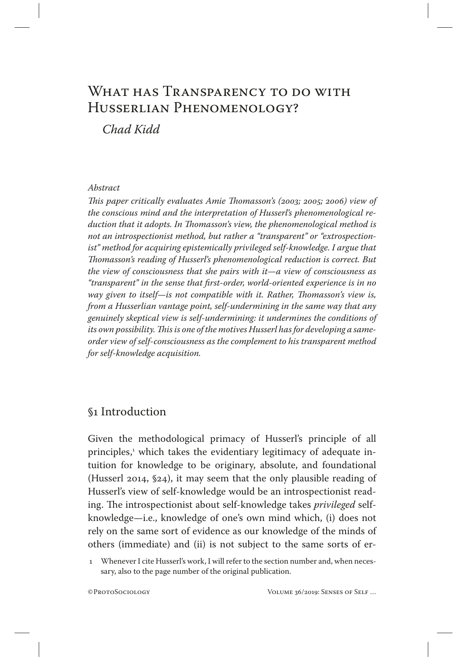## WHAT HAS TRANSPARENCY TO DO WITH Husserlian Phenomenology?

*Chad Kidd*

#### *Abstract*

*This paper critically evaluates Amie Thomasson's (2003; 2005; 2006) view of the conscious mind and the interpretation of Husserl's phenomenological reduction that it adopts. In Thomasson's view, the phenomenological method is not an introspectionist method, but rather a "transparent" or "extrospectionist" method for acquiring epistemically privileged self-knowledge. I argue that Thomasson's reading of Husserl's phenomenological reduction is correct. But the view of consciousness that she pairs with it—a view of consciousness as "transparent" in the sense that first-order, world-oriented experience is in no way given to itself—is not compatible with it. Rather, Thomasson's view is, from a Husserlian vantage point, self-undermining in the same way that any genuinely skeptical view is self-undermining: it undermines the conditions of its own possibility. This is one of the motives Husserl has for developing a sameorder view of self-consciousness as the complement to his transparent method for self-knowledge acquisition.*

#### §1 Introduction

Given the methodological primacy of Husserl's principle of all principles,<sup>1</sup> which takes the evidentiary legitimacy of adequate intuition for knowledge to be originary, absolute, and foundational (Husserl 2014, §24), it may seem that the only plausible reading of Husserl's view of self-knowledge would be an introspectionist reading. The introspectionist about self-knowledge takes *privileged* selfknowledge—i.e., knowledge of one's own mind which, (i) does not rely on the same sort of evidence as our knowledge of the minds of others (immediate) and (ii) is not subject to the same sorts of er-

 <sup>1</sup> Whenever I cite Husserl's work, I will refer to the section number and, when necessary, also to the page number of the original publication.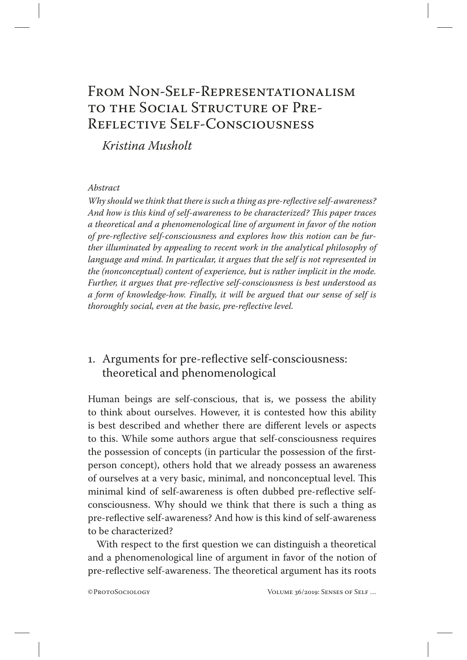## From Non-Self-Representationalism to the Social Structure of Pre-Reflective Self-Consciousness

*Kristina Musholt*

#### *Abstract*

*Why should we think that there is such a thing as pre-reflective self-awareness? And how is this kind of self-awareness to be characterized? This paper traces a theoretical and a phenomenological line of argument in favor of the notion of pre-reflective self-consciousness and explores how this notion can be further illuminated by appealing to recent work in the analytical philosophy of*  language and mind. In particular, it argues that the self is not represented in *the (nonconceptual) content of experience, but is rather implicit in the mode. Further, it argues that pre-reflective self-consciousness is best understood as a form of knowledge-how. Finally, it will be argued that our sense of self is thoroughly social, even at the basic, pre-reflective level.* 

## 1. Arguments for pre-reflective self-consciousness: theoretical and phenomenological

Human beings are self-conscious, that is, we possess the ability to think about ourselves. However, it is contested how this ability is best described and whether there are different levels or aspects to this. While some authors argue that self-consciousness requires the possession of concepts (in particular the possession of the firstperson concept), others hold that we already possess an awareness of ourselves at a very basic, minimal, and nonconceptual level. This minimal kind of self-awareness is often dubbed pre-reflective selfconsciousness. Why should we think that there is such a thing as pre-reflective self-awareness? And how is this kind of self-awareness to be characterized?

With respect to the first question we can distinguish a theoretical and a phenomenological line of argument in favor of the notion of pre-reflective self-awareness. The theoretical argument has its roots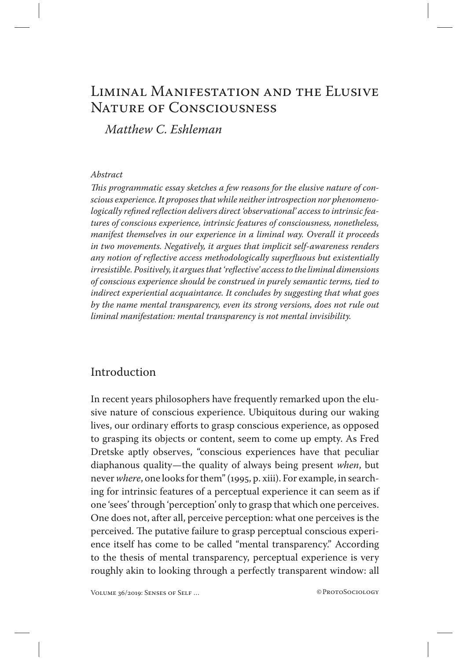## Liminal Manifestation and the Elusive NATURE OF CONSCIOUSNESS

*Matthew C. Eshleman*

#### *Abstract*

*This programmatic essay sketches a few reasons for the elusive nature of conscious experience. It proposes that while neither introspection nor phenomenologically refined reflection delivers direct 'observational' access to intrinsic features of conscious experience, intrinsic features of consciousness, nonetheless, manifest themselves in our experience in a liminal way. Overall it proceeds in two movements. Negatively, it argues that implicit self-awareness renders any notion of reflective access methodologically superfluous but existentially irresistible. Positively, it argues that 'reflective' access to the liminal dimensions of conscious experience should be construed in purely semantic terms, tied to indirect experiential acquaintance. It concludes by suggesting that what goes by the name mental transparency, even its strong versions, does not rule out liminal manifestation: mental transparency is not mental invisibility.* 

#### Introduction

In recent years philosophers have frequently remarked upon the elusive nature of conscious experience. Ubiquitous during our waking lives, our ordinary efforts to grasp conscious experience, as opposed to grasping its objects or content, seem to come up empty. As Fred Dretske aptly observes, "conscious experiences have that peculiar diaphanous quality—the quality of always being present *when*, but never *where*, one looks for them" (1995, p. xiii). For example, in searching for intrinsic features of a perceptual experience it can seem as if one 'sees' through 'perception' only to grasp that which one perceives. One does not, after all, perceive perception: what one perceives is the perceived. The putative failure to grasp perceptual conscious experience itself has come to be called "mental transparency." According to the thesis of mental transparency, perceptual experience is very roughly akin to looking through a perfectly transparent window: all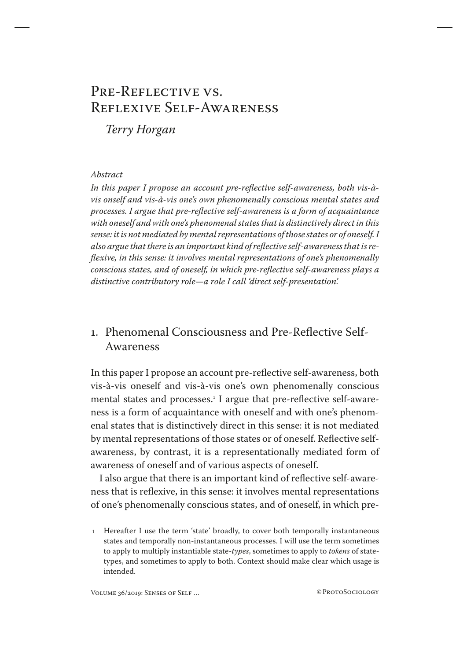## Pre-Reflective vs. Reflexive Self-Awareness

*Terry Horgan*

#### *Abstract*

*In this paper I propose an account pre-reflective self-awareness, both vis-àvis onself and vis-à-vis one's own phenomenally conscious mental states and processes. I argue that pre-reflective self-awareness is a form of acquaintance with oneself and with one's phenomenal states that is distinctively direct in this sense: it is not mediated by mental representations of those states or of oneself. I also argue that there is an important kind of reflective self-awareness that is reflexive, in this sense: it involves mental representations of one's phenomenally conscious states, and of oneself, in which pre-reflective self-awareness plays a distinctive contributory role—a role I call 'direct self-presentation'.*

#### 1. Phenomenal Consciousness and Pre-Reflective Self- Awareness

In this paper I propose an account pre-reflective self-awareness, both vis-à-vis oneself and vis-à-vis one's own phenomenally conscious mental states and processes.<sup>1</sup> I argue that pre-reflective self-awareness is a form of acquaintance with oneself and with one's phenomenal states that is distinctively direct in this sense: it is not mediated by mental representations of those states or of oneself. Reflective selfawareness, by contrast, it is a representationally mediated form of awareness of oneself and of various aspects of oneself.

I also argue that there is an important kind of reflective self-awareness that is reflexive, in this sense: it involves mental representations of one's phenomenally conscious states, and of oneself, in which pre-

 1 Hereafter I use the term 'state' broadly, to cover both temporally instantaneous states and temporally non-instantaneous processes. I will use the term sometimes to apply to multiply instantiable state-*types*, sometimes to apply to *tokens* of statetypes, and sometimes to apply to both. Context should make clear which usage is intended.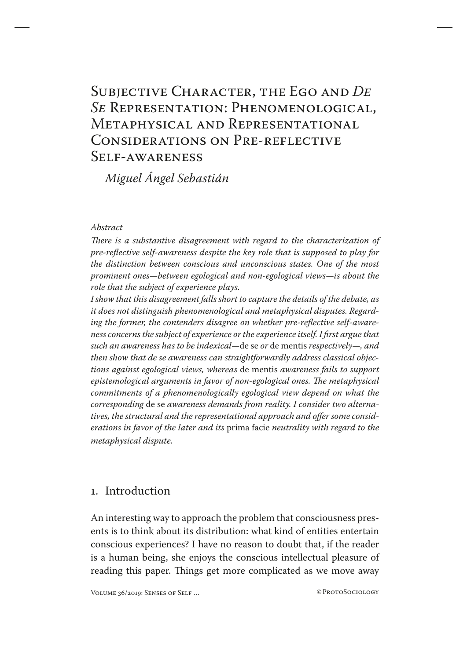## Subjective Character, the Ego and *De Se* Representation: Phenomenological, Metaphysical and Representational Considerations on Pre-reflective Self-awareness

*Miguel Ángel Sebastián*

#### *Abstract*

*There is a substantive disagreement with regard to the characterization of pre-reflective self-awareness despite the key role that is supposed to play for the distinction between conscious and unconscious states. One of the most prominent ones—between egological and non-egological views—is about the role that the subject of experience plays.*

*I show that this disagreement falls short to capture the details of the debate, as it does not distinguish phenomenological and metaphysical disputes. Regarding the former, the contenders disagree on whether pre-reflective self-awareness concerns the subject of experience or the experience itself. I first argue that such an awareness has to be indexical—*de se *or* de mentis *respectively—, and then show that de se awareness can straightforwardly address classical objections against egological views, whereas* de mentis *awareness fails to support epistemological arguments in favor of non-egological ones. The metaphysical commitments of a phenomenologically egological view depend on what the corresponding* de se *awareness demands from reality. I consider two alternatives, the structural and the representational approach and offer some considerations in favor of the later and its* prima facie *neutrality with regard to the metaphysical dispute.* 

#### 1. Introduction

An interesting way to approach the problem that consciousness presents is to think about its distribution: what kind of entities entertain conscious experiences? I have no reason to doubt that, if the reader is a human being, she enjoys the conscious intellectual pleasure of reading this paper. Things get more complicated as we move away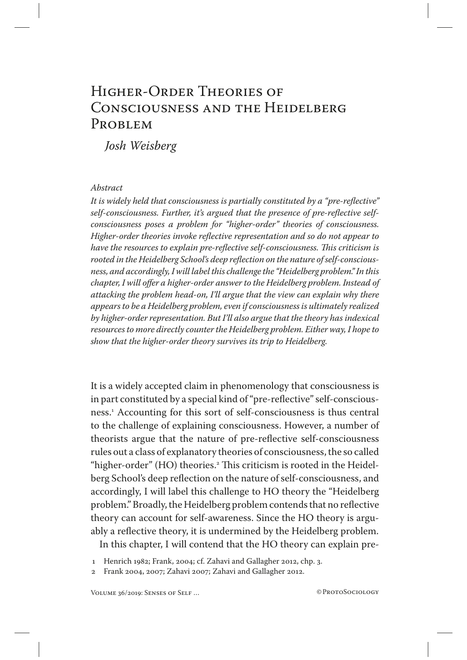## Higher-Order Theories of CONSCIOUSNESS AND THE HEIDELBERG PROBLEM

*Josh Weisberg*

#### *Abstract*

*It is widely held that consciousness is partially constituted by a "pre-reflective" self-consciousness. Further, it's argued that the presence of pre-reflective selfconsciousness poses a problem for "higher-order" theories of consciousness. Higher-order theories invoke reflective representation and so do not appear to have the resources to explain pre-reflective self-consciousness. This criticism is rooted in the Heidelberg School's deep reflection on the nature of self-consciousness, and accordingly, I will label this challenge the "Heidelberg problem." In this chapter, I will offer a higher-order answer to the Heidelberg problem. Instead of attacking the problem head-on, I'll argue that the view can explain why there appears to be a Heidelberg problem, even if consciousness is ultimately realized by higher-order representation. But I'll also argue that the theory has indexical resources to more directly counter the Heidelberg problem. Either way, I hope to show that the higher-order theory survives its trip to Heidelberg.* 

It is a widely accepted claim in phenomenology that consciousness is in part constituted by a special kind of "pre-reflective" self-consciousness.<sup>1</sup> Accounting for this sort of self-consciousness is thus central to the challenge of explaining consciousness. However, a number of theorists argue that the nature of pre-reflective self-consciousness rules out a class of explanatory theories of consciousness, the so called "higher-order" (HO) theories. $^{\rm a}$  This criticism is rooted in the Heidelberg School's deep reflection on the nature of self-consciousness, and accordingly, I will label this challenge to HO theory the "Heidelberg problem." Broadly, the Heidelberg problem contends that no reflective theory can account for self-awareness. Since the HO theory is arguably a reflective theory, it is undermined by the Heidelberg problem. In this chapter, I will contend that the HO theory can explain pre-

1 Henrich 1982; Frank, 2004; cf. Zahavi and Gallagher 2012, chp. 3.

2 Frank 2004, 2007; Zahavi 2007; Zahavi and Gallagher 2012.

Volume 36/2019: Senses of Self … © ProtoSociology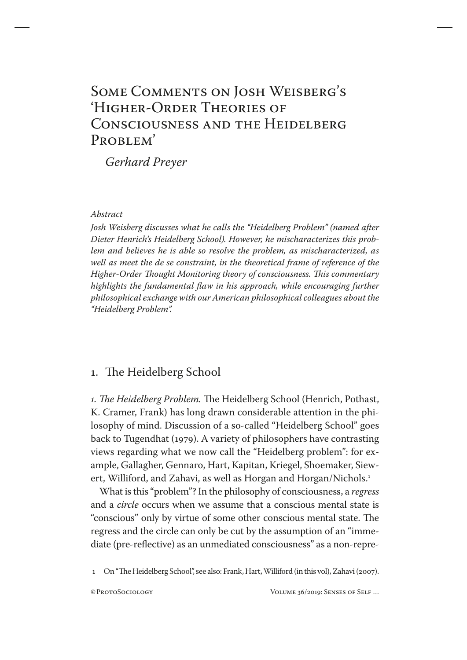## Some Comments on Josh Weisberg's 'Higher-Order Theories of CONSCIOUSNESS AND THE HEIDELBERG PROBLEM'

*Gerhard Preyer* 

#### *Abstract*

*Josh Weisberg discusses what he calls the "Heidelberg Problem" (named after Dieter Henrich's Heidelberg School). However, he mischaracterizes this problem and believes he is able so resolve the problem, as mischaracterized, as well as meet the de se constraint, in the theoretical frame of reference of the Higher-Order Thought Monitoring theory of consciousness. This commentary highlights the fundamental flaw in his approach, while encouraging further philosophical exchange with our American philosophical colleagues about the "Heidelberg Problem".*

#### 1. The Heidelberg School

*1. The Heidelberg Problem.* The Heidelberg School (Henrich, Pothast, K. Cramer, Frank) has long drawn considerable attention in the philosophy of mind. Discussion of a so-called "Heidelberg School" goes back to Tugendhat (1979). A variety of philosophers have contrasting views regarding what we now call the "Heidelberg problem": for example, Gallagher, Gennaro, Hart, Kapitan, Kriegel, Shoemaker, Siewert, Williford, and Zahavi, as well as Horgan and Horgan/Nichols.<sup>1</sup>

What is this "problem"? In the philosophy of consciousness, a *regress* and a *circle* occurs when we assume that a conscious mental state is "conscious" only by virtue of some other conscious mental state. The regress and the circle can only be cut by the assumption of an "immediate (pre-reflective) as an unmediated consciousness" as a non-repre-

 <sup>1</sup> On "The Heidelberg School", see also: Frank, Hart, Williford (in this vol), Zahavi (2007).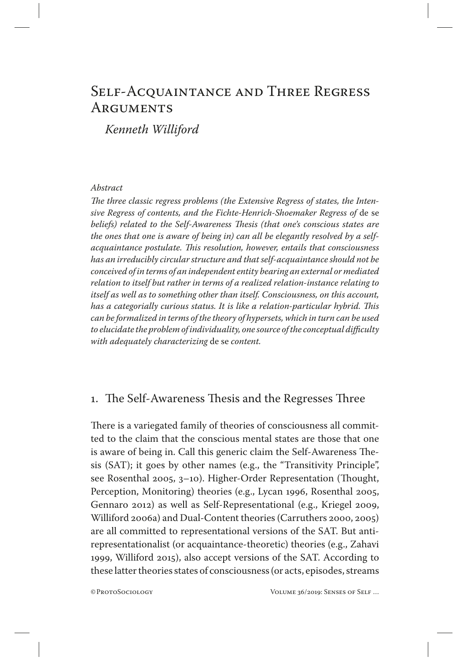## Self-Acquaintance and Three Regress **ARGUMENTS**

*Kenneth Williford*

#### *Abstract*

*The three classic regress problems (the Extensive Regress of states, the Intensive Regress of contents, and the Fichte-Henrich-Shoemaker Regress of* de se *beliefs) related to the Self-Awareness Thesis (that one's conscious states are the ones that one is aware of being in) can all be elegantly resolved by a selfacquaintance postulate. This resolution, however, entails that consciousness has an irreducibly circular structure and that self-acquaintance should not be conceived of in terms of an independent entity bearing an external or mediated relation to itself but rather in terms of a realized relation-instance relating to itself as well as to something other than itself. Consciousness, on this account, has a categorially curious status. It is like a relation-particular hybrid. This can be formalized in terms of the theory of hypersets, which in turn can be used to elucidate the problem of individuality, one source of the conceptual difficulty with adequately characterizing* de se *content.*

#### 1. The Self-Awareness Thesis and the Regresses Three

There is a variegated family of theories of consciousness all committed to the claim that the conscious mental states are those that one is aware of being in. Call this generic claim the Self-Awareness Thesis (SAT); it goes by other names (e.g., the "Transitivity Principle", see Rosenthal 2005, 3–10). Higher-Order Representation (Thought, Perception, Monitoring) theories (e.g., Lycan 1996, Rosenthal 2005, Gennaro 2012) as well as Self-Representational (e.g., Kriegel 2009, Williford 2006a) and Dual-Content theories (Carruthers 2000, 2005) are all committed to representational versions of the SAT. But antirepresentationalist (or acquaintance-theoretic) theories (e.g., Zahavi 1999, Williford 2015), also accept versions of the SAT. According to these latter theories states of consciousness (or acts, episodes, streams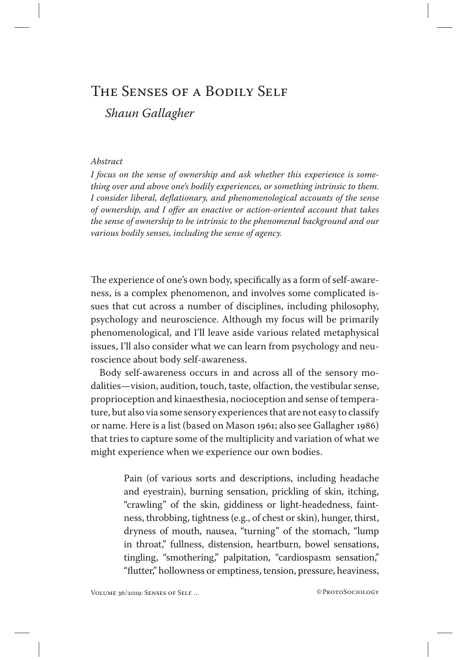## The Senses of a Bodily Self

*Shaun Gallagher*

#### *Abstract*

*I focus on the sense of ownership and ask whether this experience is something over and above one's bodily experiences, or something intrinsic to them. I consider liberal, deflationary, and phenomenological accounts of the sense of ownership, and I offer an enactive or action-oriented account that takes the sense of ownership to be intrinsic to the phenomenal background and our various bodily senses, including the sense of agency.*

The experience of one's own body, specifically as a form of self-awareness, is a complex phenomenon, and involves some complicated issues that cut across a number of disciplines, including philosophy, psychology and neuroscience. Although my focus will be primarily phenomenological, and I'll leave aside various related metaphysical issues, I'll also consider what we can learn from psychology and neuroscience about body self-awareness.

Body self-awareness occurs in and across all of the sensory modalities—vision, audition, touch, taste, olfaction, the vestibular sense, proprioception and kinaesthesia, nocioception and sense of temperature, but also via some sensory experiences that are not easy to classify or name. Here is a list (based on Mason 1961; also see Gallagher 1986) that tries to capture some of the multiplicity and variation of what we might experience when we experience our own bodies.

> Pain (of various sorts and descriptions, including headache and eyestrain), burning sensation, prickling of skin, itching, "crawling" of the skin, giddiness or light-headedness, faintness, throbbing, tightness (e.g., of chest or skin), hunger, thirst, dryness of mouth, nausea, "turning" of the stomach, "lump in throat," fullness, distension, heartburn, bowel sensations, tingling, "smothering," palpitation, "cardiospasm sensation," "flutter," hollowness or emptiness, tension, pressure, heaviness,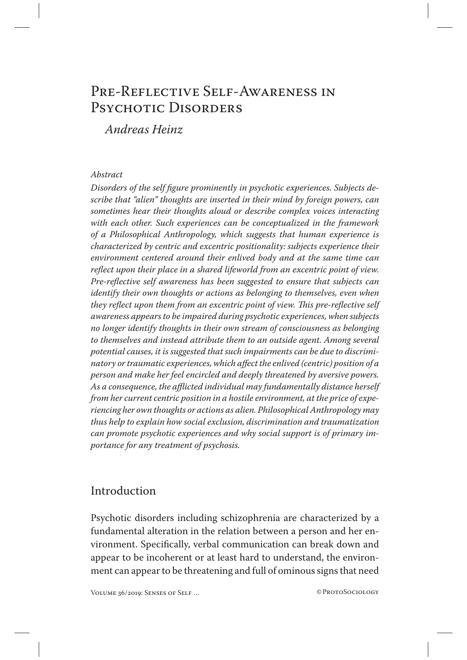## Pre-Reflective Self-Awareness in Psychotic Disorders

*Andreas Heinz*

#### *Abstract*

*Disorders of the self figure prominently in psychotic experiences. Subjects describe that "alien" thoughts are inserted in their mind by foreign powers, can sometimes hear their thoughts aloud or describe complex voices interacting with each other. Such experiences can be conceptualized in the framework of a Philosophical Anthropology, which suggests that human experience is characterized by centric and excentric positionality: subjects experience their environment centered around their enlived body and at the same time can reflect upon their place in a shared lifeworld from an excentric point of view. Pre-reflective self awareness has been suggested to ensure that subjects can identify their own thoughts or actions as belonging to themselves, even when they reflect upon them from an excentric point of view. This pre-reflective self awareness appears to be impaired during psychotic experiences, when subjects no longer identify thoughts in their own stream of consciousness as belonging to themselves and instead attribute them to an outside agent. Among several potential causes, it is suggested that such impairments can be due to discriminatory or traumatic experiences, which affect the enlived (centric) position of a person and make her feel encircled and deeply threatened by aversive powers. As a consequence, the afflicted individual may fundamentally distance herself from her current centric position in a hostile environment, at the price of experiencing her own thoughts or actions as alien. Philosophical Anthropology may thus help to explain how social exclusion, discrimination and traumatization can promote psychotic experiences and why social support is of primary importance for any treatment of psychosis.*

#### Introduction

Psychotic disorders including schizophrenia are characterized by a fundamental alteration in the relation between a person and her environment. Specifically, verbal communication can break down and appear to be incoherent or at least hard to understand, the environment can appear to be threatening and full of ominous signs that need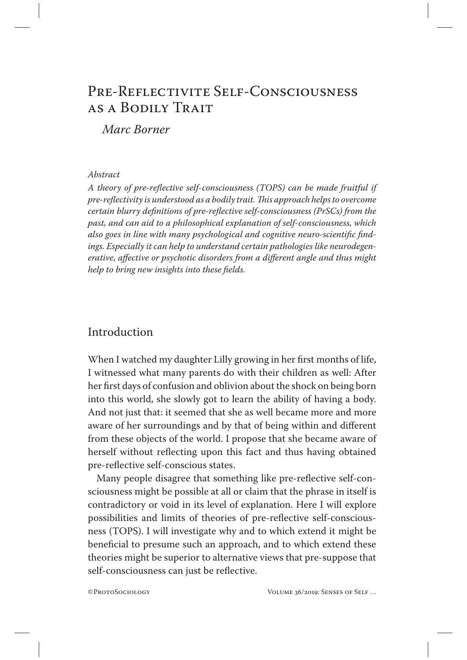## Pre-Reflectivite Self-Consciousness as a Bodily Trait

#### *Marc Borner*

#### *Abstract*

*A theory of pre-reflective self-consciousness (TOPS) can be made fruitful if pre-reflectivity is understood as a bodily trait. This approach helps to overcome certain blurry definitions of pre-reflective self-consciousness (PrSCs) from the past, and can aid to a philosophical explanation of self-consciousness, which also goes in line with many psychological and cognitive neuro-scientific findings. Especially it can help to understand certain pathologies like neurodegenerative, affective or psychotic disorders from a different angle and thus might help to bring new insights into these fields.* 

#### Introduction

When I watched my daughter Lilly growing in her first months of life, I witnessed what many parents do with their children as well: After her first days of confusion and oblivion about the shock on being born into this world, she slowly got to learn the ability of having a body. And not just that: it seemed that she as well became more and more aware of her surroundings and by that of being within and different from these objects of the world. I propose that she became aware of herself without reflecting upon this fact and thus having obtained pre-reflective self-conscious states.

Many people disagree that something like pre-reflective self-consciousness might be possible at all or claim that the phrase in itself is contradictory or void in its level of explanation. Here I will explore possibilities and limits of theories of pre-reflective self-consciousness (TOPS). I will investigate why and to which extend it might be beneficial to presume such an approach, and to which extend these theories might be superior to alternative views that pre-suppose that self-consciousness can just be reflective.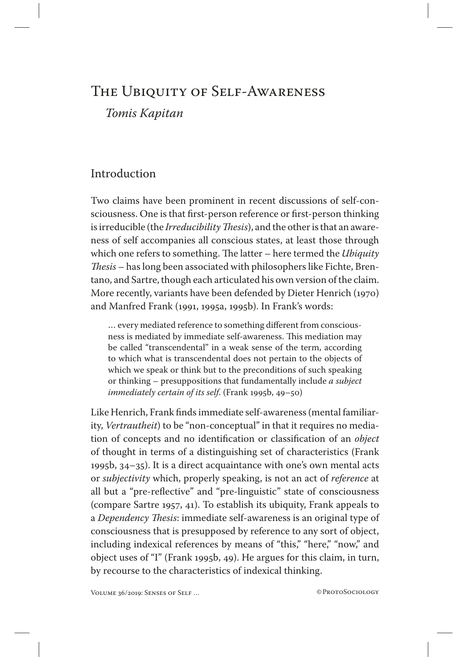## The Ubiquity of Self-Awareness *Tomis Kapitan*

## Introduction

Two claims have been prominent in recent discussions of self-consciousness. One is that first-person reference or first-person thinking is irreducible (the *Irreducibility Thesis*), and the other is that an awareness of self accompanies all conscious states, at least those through which one refers to something. The latter – here termed the *Ubiquity Thesis* – has long been associated with philosophers like Fichte, Brentano, and Sartre, though each articulated his own version of the claim. More recently, variants have been defended by Dieter Henrich (1970) and Manfred Frank (1991, 1995a, 1995b). In Frank's words:

… every mediated reference to something different from consciousness is mediated by immediate self-awareness. This mediation may be called "transcendental" in a weak sense of the term, according to which what is transcendental does not pertain to the objects of which we speak or think but to the preconditions of such speaking or thinking – presuppositions that fundamentally include *a subject immediately certain of its self*. (Frank 1995b, 49–50)

Like Henrich, Frank finds immediate self-awareness (mental familiarity, *Vertrautheit*) to be "non-conceptual" in that it requires no mediation of concepts and no identification or classification of an *object*  of thought in terms of a distinguishing set of characteristics (Frank 1995b, 34–35). It is a direct acquaintance with one's own mental acts or *subjectivity* which, properly speaking, is not an act of *reference* at all but a "pre-reflective" and "pre-linguistic" state of consciousness (compare Sartre 1957, 41). To establish its ubiquity, Frank appeals to a *Dependency Thesis*: immediate self-awareness is an original type of consciousness that is presupposed by reference to any sort of object, including indexical references by means of "this," "here," "now," and object uses of "I" (Frank 1995b, 49). He argues for this claim, in turn, by recourse to the characteristics of indexical thinking.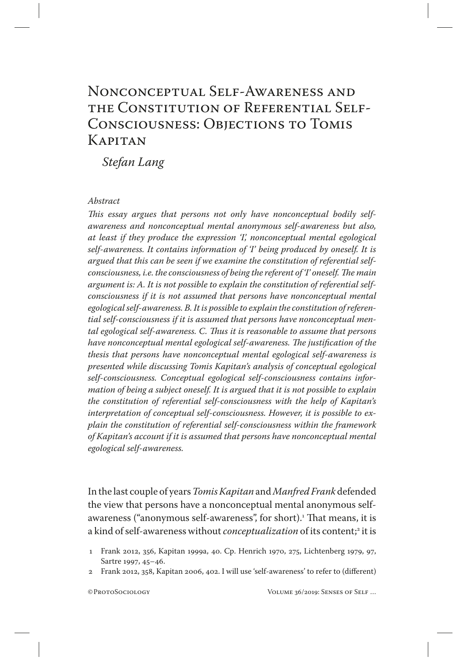## Nonconceptual Self-Awareness and the Constitution of Referential Self-CONSCIOUSNESS: OBJECTIONS TO TOMIS **KAPITAN**

*Stefan Lang*

#### *Abstract*

*This essay argues that persons not only have nonconceptual bodily selfawareness and nonconceptual mental anonymous self-awareness but also, at least if they produce the expression 'I', nonconceptual mental egological self-awareness. It contains information of 'I' being produced by oneself. It is argued that this can be seen if we examine the constitution of referential selfconsciousness, i.e. the consciousness of being the referent of 'I' oneself. The main argument is: A. It is not possible to explain the constitution of referential selfconsciousness if it is not assumed that persons have nonconceptual mental egological self-awareness. B. It is possible to explain the constitution of referential self-consciousness if it is assumed that persons have nonconceptual mental egological self-awareness. C. Thus it is reasonable to assume that persons have nonconceptual mental egological self-awareness. The justification of the thesis that persons have nonconceptual mental egological self-awareness is presented while discussing Tomis Kapitan's analysis of conceptual egological self-consciousness. Conceptual egological self-consciousness contains information of being a subject oneself. It is argued that it is not possible to explain the constitution of referential self-consciousness with the help of Kapitan's interpretation of conceptual self-consciousness. However, it is possible to explain the constitution of referential self-consciousness within the framework of Kapitan's account if it is assumed that persons have nonconceptual mental egological self-awareness.* 

In the last couple of years *Tomis Kapitan* and *Manfred Frank* defended the view that persons have a nonconceptual mental anonymous selfawareness ("anonymous self-awareness", for short).<sup>1</sup> That means, it is a kind of self-awareness without *conceptualization* of its content;<sup>2</sup> it is

- 1 Frank 2012, 356, Kapitan 1999a, 40. Cp. Henrich 1970, 275, Lichtenberg 1979, 97, Sartre 1997, 45–46.
- 2 Frank 2012, 358, Kapitan 2006, 402. I will use 'self-awareness' to refer to (different)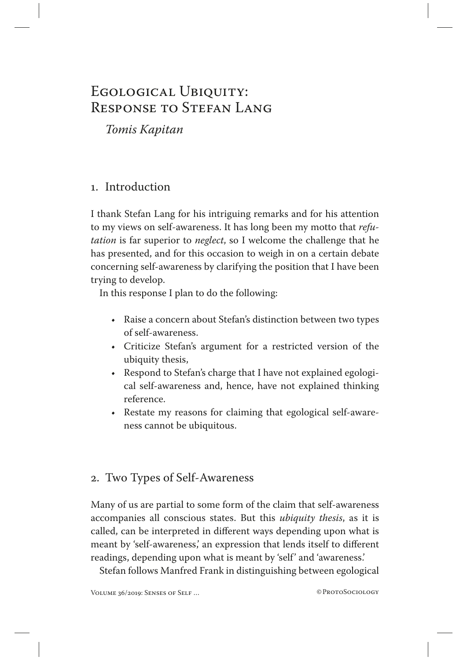## Egological Ubiquity: Response to Stefan Lang

*Tomis Kapitan* 

## 1. Introduction

I thank Stefan Lang for his intriguing remarks and for his attention to my views on self-awareness. It has long been my motto that *refutation* is far superior to *neglect*, so I welcome the challenge that he has presented, and for this occasion to weigh in on a certain debate concerning self-awareness by clarifying the position that I have been trying to develop.

In this response I plan to do the following:

- Raise a concern about Stefan's distinction between two types of self-awareness.
- Criticize Stefan's argument for a restricted version of the ubiquity thesis,
- Respond to Stefan's charge that I have not explained egological self-awareness and, hence, have not explained thinking reference.
- Restate my reasons for claiming that egological self-awareness cannot be ubiquitous.

## 2. Two Types of Self-Awareness

Many of us are partial to some form of the claim that self-awareness accompanies all conscious states. But this *ubiquity thesis*, as it is called, can be interpreted in different ways depending upon what is meant by 'self-awareness,' an expression that lends itself to different readings, depending upon what is meant by 'self' and 'awareness.'

Stefan follows Manfred Frank in distinguishing between egological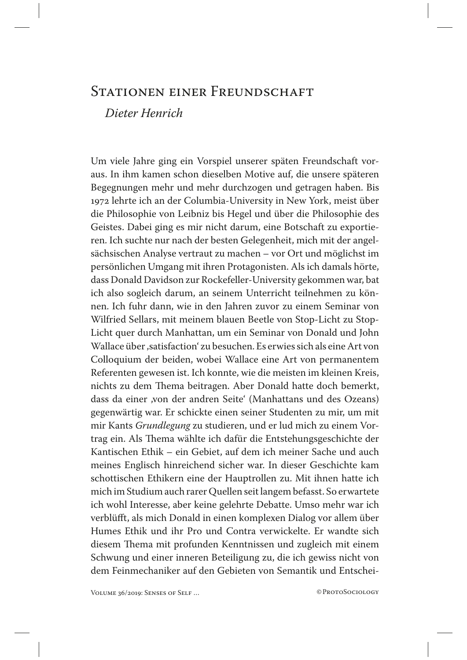## Stationen einer Freundschaft

#### *Dieter Henrich*

Um viele Jahre ging ein Vorspiel unserer späten Freundschaft voraus. In ihm kamen schon dieselben Motive auf, die unsere späteren Begegnungen mehr und mehr durchzogen und getragen haben. Bis 1972 lehrte ich an der Columbia-University in New York, meist über die Philosophie von Leibniz bis Hegel und über die Philosophie des Geistes. Dabei ging es mir nicht darum, eine Botschaft zu exportieren. Ich suchte nur nach der besten Gelegenheit, mich mit der angelsächsischen Analyse vertraut zu machen – vor Ort und möglichst im persönlichen Umgang mit ihren Protagonisten. Als ich damals hörte, dass Donald Davidson zur Rockefeller-University gekommen war, bat ich also sogleich darum, an seinem Unterricht teilnehmen zu können. Ich fuhr dann, wie in den Jahren zuvor zu einem Seminar von Wilfried Sellars, mit meinem blauen Beetle von Stop-Licht zu Stop-Licht quer durch Manhattan, um ein Seminar von Donald und John Wallace über 'satisfaction' zu besuchen. Es erwies sich als eine Art von Colloquium der beiden, wobei Wallace eine Art von permanentem Referenten gewesen ist. Ich konnte, wie die meisten im kleinen Kreis, nichts zu dem Thema beitragen. Aber Donald hatte doch bemerkt, dass da einer ,von der andren Seite' (Manhattans und des Ozeans) gegenwärtig war. Er schickte einen seiner Studenten zu mir, um mit mir Kants *Grundlegung* zu studieren, und er lud mich zu einem Vortrag ein. Als Thema wählte ich dafür die Entstehungsgeschichte der Kantischen Ethik – ein Gebiet, auf dem ich meiner Sache und auch meines Englisch hinreichend sicher war. In dieser Geschichte kam schottischen Ethikern eine der Hauptrollen zu. Mit ihnen hatte ich mich im Studium auch rarer Quellen seit langem befasst. So erwartete ich wohl Interesse, aber keine gelehrte Debatte. Umso mehr war ich verblüfft, als mich Donald in einen komplexen Dialog vor allem über Humes Ethik und ihr Pro und Contra verwickelte. Er wandte sich diesem Thema mit profunden Kenntnissen und zugleich mit einem Schwung und einer inneren Beteiligung zu, die ich gewiss nicht von dem Feinmechaniker auf den Gebieten von Semantik und Entschei-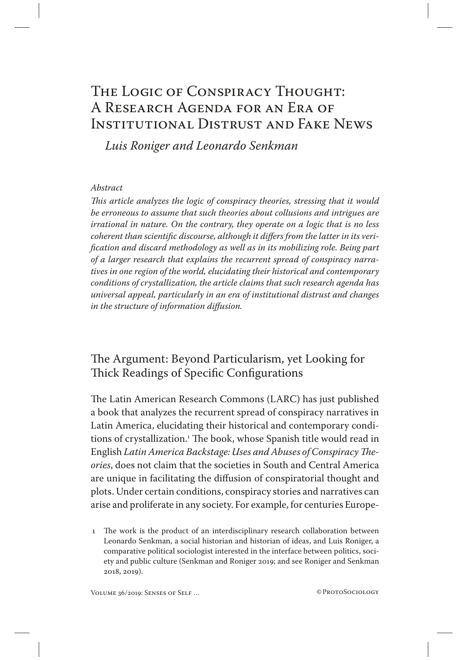## THE LOGIC OF CONSPIRACY THOUGHT: A Research Agenda for an Era of Institutional Distrust and Fake News

*Luis Roniger and Leonardo Senkman*

#### *Abstract*

*This article analyzes the logic of conspiracy theories, stressing that it would be erroneous to assume that such theories about collusions and intrigues are irrational in nature. On the contrary, they operate on a logic that is no less coherent than scientific discourse, although it differs from the latter in its verification and discard methodology as well as in its mobilizing role. Being part of a larger research that explains the recurrent spread of conspiracy narratives in one region of the world, elucidating their historical and contemporary conditions of crystallization, the article claims that such research agenda has universal appeal, particularly in an era of institutional distrust and changes in the structure of information diffusion.*

## The Argument: Beyond Particularism, yet Looking for Thick Readings of Specific Configurations

The Latin American Research Commons (LARC) has just published a book that analyzes the recurrent spread of conspiracy narratives in Latin America, elucidating their historical and contemporary conditions of crystallization.1 The book, whose Spanish title would read in English *Latin America Backstage: Uses and Abuses of Conspiracy Theories*, does not claim that the societies in South and Central America are unique in facilitating the diffusion of conspiratorial thought and plots. Under certain conditions, conspiracy stories and narratives can arise and proliferate in any society. For example, for centuries Europe-

 1 The work is the product of an interdisciplinary research collaboration between Leonardo Senkman, a social historian and historian of ideas, and Luis Roniger, a comparative political sociologist interested in the interface between politics, society and public culture (Senkman and Roniger 2019; and see Roniger and Senkman 2018, 2019).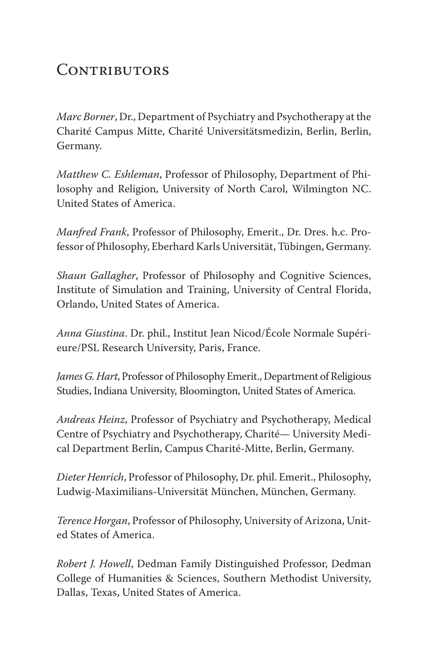## **CONTRIBUTORS**

*Marc Borner*, Dr., Department of Psychiatry and Psychotherapy at the Charité Campus Mitte, Charité Universitätsmedizin, Berlin, Berlin, Germany.

*Matthew C. Eshleman*, Professor of Philosophy, Department of Philosophy and Religion, University of North Carol, Wilmington NC. United States of America.

*Manfred Frank*, Professor of Philosophy, Emerit., Dr. Dres. h.c. Professor of Philosophy, Eberhard Karls Universität, Tübingen, Germany.

*Shaun Gallagher*, Professor of Philosophy and Cognitive Sciences, Institute of Simulation and Training, University of Central Florida, Orlando, United States of America.

*Anna Giustina*. Dr. phil., Institut Jean Nicod/École Normale Supérieure/PSL Research University, Paris, France.

*James G. Hart*, Professor of Philosophy Emerit., Department of Religious Studies, Indiana University, Bloomington, United States of America.

*Andreas Heinz*, Professor of Psychiatry and Psychotherapy, Medical Centre of Psychiatry and Psychotherapy, Charité— University Medical Department Berlin, Campus Charité-Mitte, Berlin, Germany.

*Dieter Henrich*, Professor of Philosophy, Dr. phil. Emerit., Philosophy, Ludwig-Maximilians-Universität München, München, Germany.

*Terence Horgan*, Professor of Philosophy, University of Arizona, United States of America.

*Robert J. Howell*, Dedman Family Distinguished Professor, Dedman College of Humanities & Sciences, Southern Methodist University, Dallas, Texas, United States of America.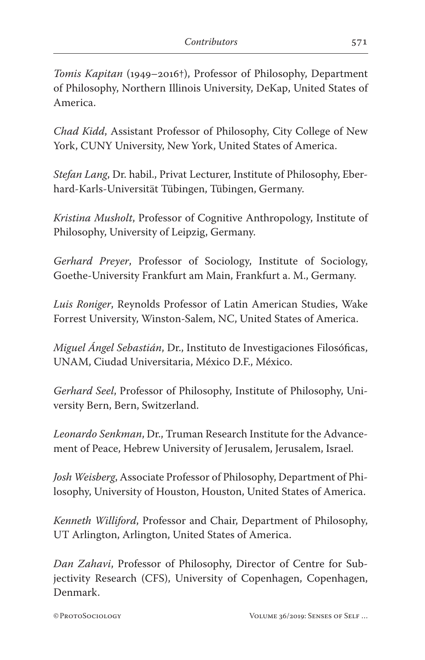*Tomis Kapitan* (1949–2016†), Professor of Philosophy, Department of Philosophy, Northern Illinois University, DeKap, United States of America.

*Chad Kidd*, Assistant Professor of Philosophy, City College of New York, CUNY University, New York, United States of America.

*Stefan Lang*, Dr. habil., Privat Lecturer, Institute of Philosophy, Eberhard-Karls-Universität Tübingen, Tübingen, Germany.

*Kristina Musholt*, Professor of Cognitive Anthropology, Institute of Philosophy, University of Leipzig, Germany.

*Gerhard Preyer*, Professor of Sociology, Institute of Sociology, Goethe-University Frankfurt am Main, Frankfurt a. M., Germany.

*Luis Roniger*, Reynolds Professor of Latin American Studies, Wake Forrest University, Winston-Salem, NC, United States of America.

*Miguel Ángel Sebastián*, Dr., Instituto de Investigaciones Filosóficas, UNAM, Ciudad Universitaria, México D.F., México.

*Gerhard Seel*, Professor of Philosophy, Institute of Philosophy, University Bern, Bern, Switzerland.

*Leonardo Senkman*, Dr., Truman Research Institute for the Advancement of Peace, Hebrew University of Jerusalem, Jerusalem, Israel.

*Josh Weisberg*, Associate Professor of Philosophy, Department of Philosophy, University of Houston, Houston, United States of America.

*Kenneth Williford*, Professor and Chair, Department of Philosophy, UT Arlington, Arlington, United States of America.

*Dan Zahavi*, Professor of Philosophy, Director of Centre for Subjectivity Research (CFS), University of Copenhagen, Copenhagen, Denmark.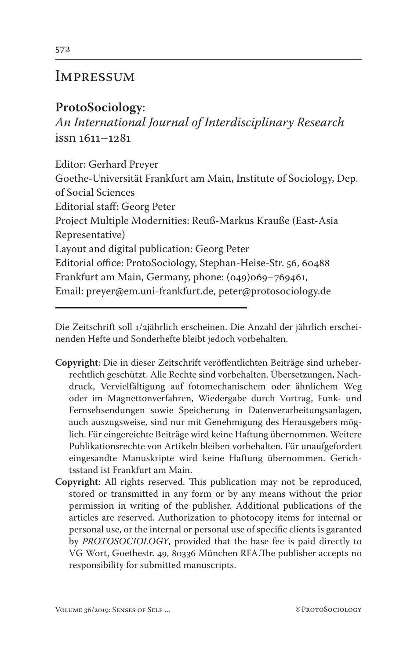## Impressum

## **ProtoSociology**:

*An International Journal of Interdisciplinary Research*  issn 1611–1281

Editor: Gerhard Preyer Goethe-Universität Frankfurt am Main, Institute of Sociology, Dep. of Social Sciences Editorial staff: Georg Peter Project Multiple Modernities: Reuß-Markus Krauße (East-Asia Representative) Layout and digital publication: Georg Peter Editorial office: ProtoSociology, Stephan-Heise-Str. 56, 60488 Frankfurt am Main, Germany, phone: (049)069–769461, Email: preyer@em.uni-frankfurt.de, peter@protosociology.de

Die Zeitschrift soll 1/2jährlich erscheinen. Die Anzahl der jährlich erscheinenden Hefte und Sonderhefte bleibt jedoch vorbehalten.

- **Copyright**: Die in dieser Zeitschrift veröffentlichten Beiträge sind urheberrechtlich geschützt. Alle Rechte sind vorbehalten. Übersetzungen, Nachdruck, Vervielfältigung auf fotomechanischem oder ähnlichem Weg oder im Magnettonverfahren, Wiedergabe durch Vortrag, Funk- und Fernsehsendungen sowie Speicherung in Datenverarbeitungsanlagen, auch auszugsweise, sind nur mit Genehmigung des Herausgebers möglich. Für eingereichte Beiträge wird keine Haftung übernommen. Weitere Publikationsrechte von Artikeln bleiben vorbehalten. Für unaufgefordert eingesandte Manuskripte wird keine Haftung übernommen. Gerichtsstand ist Frankfurt am Main.
- **Copyright**: All rights reserved. This publication may not be reproduced, stored or transmitted in any form or by any means without the prior permission in writing of the publisher. Additional publications of the articles are reserved. Authorization to photocopy items for internal or personal use, or the internal or personal use of specific clients is garanted by *PROTOSOCIOLOGY*, provided that the base fee is paid directly to VG Wort, Goethestr. 49, 80336 München RFA.The publisher accepts no responsibility for submitted manuscripts.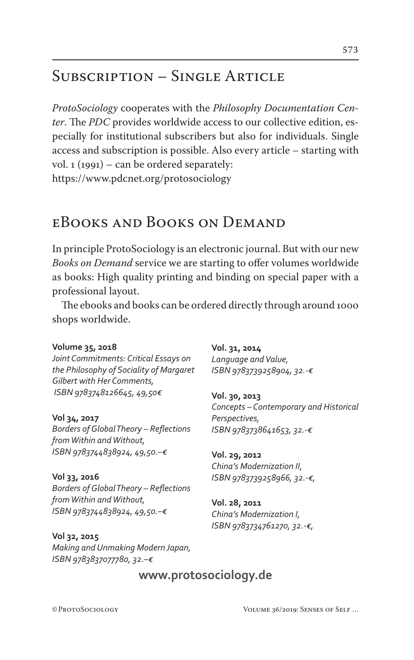## SUBSCRIPTION – SINGLE ARTICLE

*ProtoSociology* cooperates with the *Philosophy Documentation Center*. The *PDC* provides worldwide access to our collective edition, especially for institutional subscribers but also for individuals. Single access and subscription is possible. Also every article – starting with vol. 1 (1991) – can be ordered separately: https://www.pdcnet.org/protosociology

## eBooks and Books on Demand

In principle ProtoSociology is an electronic journal. But with our new *Books on Demand* service we are starting to offer volumes worldwide as books: High quality printing and binding on special paper with a professional layout.

The ebooks and books can be ordered directly through around 1000 shops worldwide.

#### **Volume 35, 2018**

*Joint Commitments: Critical Essays on the Philosophy of Sociality of Margaret Gilbert with Her Comments, ISBN 9783748126645, 49,50€*

**Vol 34, 2017** *Borders of Global Theory – Reflections from Within and Without, ISBN 9783744838924, 49,50.–€*

**Vol 33, 2016** *Borders of Global Theory – Reflections from Within and Without, ISBN 9783744838924, 49,50.–€*

**Vol 32, 2015** *Making and Unmaking Modern Japan, ISBN 9783837077780, 32.–€*

**Vol. 31, 2014**  *Language and Value, ISBN 9783739258904, 32.-€* 

**Vol. 30, 2013**  *Concepts – Contemporary and Historical Perspectives, ISBN 9783738641653, 32.-€*

**Vol. 29, 2012**  *China's Modernization II, ISBN 9783739258966, 32.-€,* 

**Vol. 28, 2011** *China's Modernization I, ISBN 9783734761270, 32.-€,* 

## **www.protosociology.de**